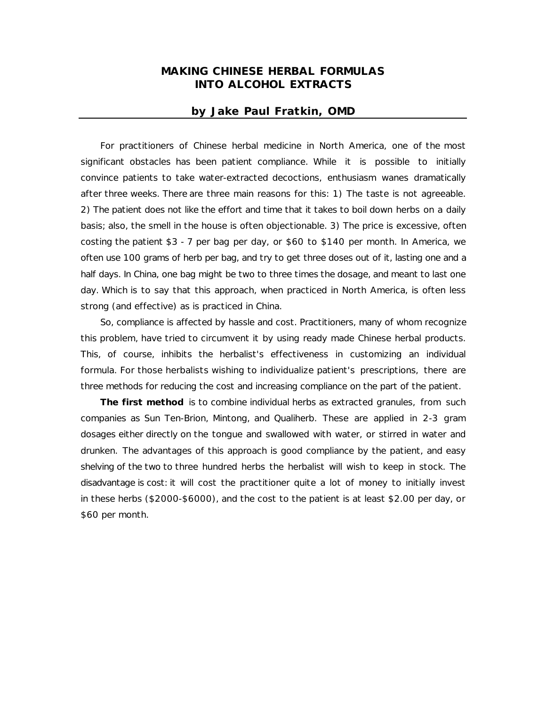## **MAKING CHINESE HERBAL FORMULAS INTO ALCOHOL EXTRACTS**

## **by Jake Paul Fratkin, OMD**

For practitioners of Chinese herbal medicine in North America, one of the most significant obstacles has been patient compliance. While it is possible to initially convince patients to take water-extracted decoctions, enthusiasm wanes dramatically after three weeks. There are three main reasons for this: 1) The taste is not agreeable. 2) The patient does not like the effort and time that it takes to boil down herbs on a daily basis; also, the smell in the house is often objectionable. 3) The price is excessive, often costing the patient \$3 - 7 per bag per day, or \$60 to \$140 per month. In America, we often use 100 grams of herb per bag, and try to get three doses out of it, lasting one and a half days. In China, one bag might be two to three times the dosage, and meant to last one day. Which is to say that this approach, when practiced in North America, is often less strong (and effective) as is practiced in China.

So, compliance is affected by hassle and cost. Practitioners, many of whom recognize this problem, have tried to circumvent it by using ready made Chinese herbal products. This, of course, inhibits the herbalist's effectiveness in customizing an individual formula. For those herbalists wishing to individualize patient's prescriptions, there are three methods for reducing the cost and increasing compliance on the part of the patient.

**The first method** is to combine individual herbs as extracted granules, from such companies as Sun Ten-Brion, Mintong, and Qualiherb. These are applied in 2-3 gram dosages either directly on the tongue and swallowed with water, or stirred in water and drunken. The advantages of this approach is good compliance by the patient, and easy shelving of the two to three hundred herbs the herbalist will wish to keep in stock. The disadvantage is cost: it will cost the practitioner quite a lot of money to initially invest in these herbs (\$2000-\$6000), and the cost to the patient is at least \$2.00 per day, or \$60 per month.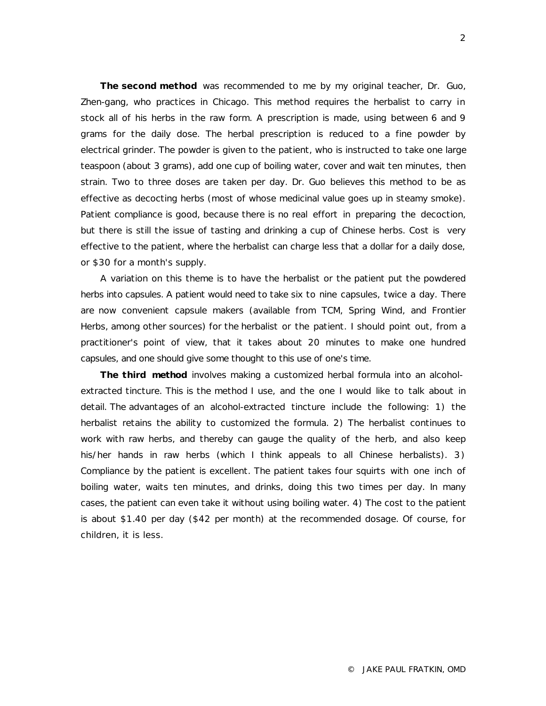**The second method** was recommended to me by my original teacher, Dr. Guo, Zhen-gang, who practices in Chicago. This method requires the herbalist to carry in stock all of his herbs in the raw form. A prescription is made, using between 6 and 9 grams for the daily dose. The herbal prescription is reduced to a fine powder by electrical grinder. The powder is given to the patient, who is instructed to take one large teaspoon (about 3 grams), add one cup of boiling water, cover and wait ten minutes, then strain. Two to three doses are taken per day. Dr. Guo believes this method to be as effective as decocting herbs (most of whose medicinal value goes up in steamy smoke). Patient compliance is good, because there is no real effort in preparing the decoction, but there is still the issue of tasting and drinking a cup of Chinese herbs. Cost is very effective to the patient, where the herbalist can charge less that a dollar for a daily dose, or \$30 for a month's supply.

A variation on this theme is to have the herbalist or the patient put the powdered herbs into capsules. A patient would need to take six to nine capsules, twice a day. There are now convenient capsule makers (available from TCM, Spring Wind, and Frontier Herbs, among other sources) for the herbalist or the patient. I should point out, from a practitioner's point of view, that it takes about 20 minutes to make one hundred capsules, and one should give some thought to this use of one's time.

**The third method** involves making a customized herbal formula into an alcoholextracted tincture. This is the method I use, and the one I would like to talk about in detail. The advantages of an alcohol-extracted tincture include the following: 1) the herbalist retains the ability to customized the formula. 2) The herbalist continues to work with raw herbs, and thereby can gauge the quality of the herb, and also keep his/her hands in raw herbs (which I think appeals to all Chinese herbalists). 3) Compliance by the patient is excellent. The patient takes four squirts with one inch of boiling water, waits ten minutes, and drinks, doing this two times per day. In many cases, the patient can even take it without using boiling water. 4) The cost to the patient is about \$1.40 per day (\$42 per month) at the recommended dosage. Of course, for children, it is less.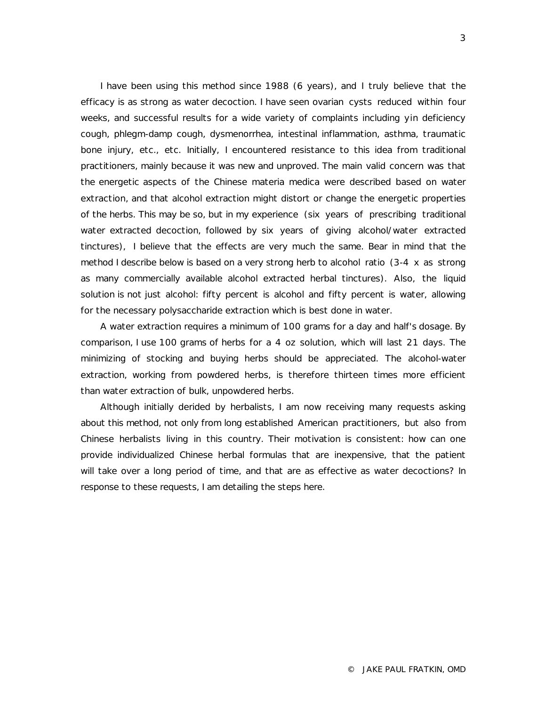I have been using this method since 1988 (6 years), and I truly believe that the efficacy is as strong as water decoction. I have seen ovarian cysts reduced within four weeks, and successful results for a wide variety of complaints including *yin* deficiency cough, phlegm-damp cough, dysmenorrhea, intestinal inflammation, asthma, traumatic bone injury, etc., etc. Initially, I encountered resistance to this idea from traditional practitioners, mainly because it was new and unproved. The main valid concern was that the energetic aspects of the Chinese materia medica were described based on water extraction, and that alcohol extraction might distort or change the energetic properties of the herbs. This may be so, but in my experience (six years of prescribing traditional water extracted decoction, followed by six years of giving alcohol/water extracted tinctures), I believe that the effects are very much the same. Bear in mind that the method I describe below is based on a very strong herb to alcohol ratio (3-4 x as strong as many commercially available alcohol extracted herbal tinctures). Also, the liquid solution is not just alcohol: fifty percent is alcohol and fifty percent is water, allowing for the necessary polysaccharide extraction which is best done in water.

A water extraction requires a minimum of 100 grams for a day and half's dosage. By comparison, I use 100 grams of herbs for a 4 oz solution, which will last 21 days. The minimizing of stocking and buying herbs should be appreciated. The alcohol-water extraction, working from powdered herbs, is therefore thirteen times more efficient than water extraction of bulk, unpowdered herbs.

Although initially derided by herbalists, I am now receiving many requests asking about this method, not only from long established American practitioners, but also from Chinese herbalists living in this country. Their motivation is consistent: how can one provide individualized Chinese herbal formulas that are inexpensive, that the patient will take over a long period of time, and that are as effective as water decoctions? In response to these requests, I am detailing the steps here.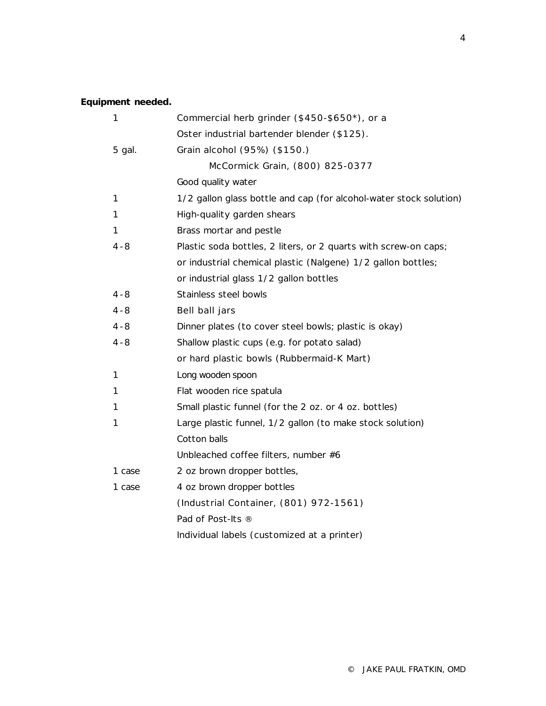## **Equipment needed.**

| 1       | Commercial herb grinder (\$450-\$650*), or a                       |
|---------|--------------------------------------------------------------------|
|         | Oster industrial bartender blender (\$125).                        |
| 5 gal.  | Grain alcohol (95%) (\$150.)                                       |
|         | McCormick Grain, (800) 825-0377                                    |
|         | Good quality water                                                 |
| 1       | 1/2 gallon glass bottle and cap (for alcohol-water stock solution) |
| 1       | High-quality garden shears                                         |
| 1       | Brass mortar and pestle                                            |
| 4 - 8   | Plastic soda bottles, 2 liters, or 2 quarts with screw-on caps;    |
|         | or industrial chemical plastic (Nalgene) 1/2 gallon bottles;       |
|         | or industrial glass 1/2 gallon bottles                             |
| $4 - 8$ | Stainless steel bowls                                              |
| $4 - 8$ | Bell ball jars                                                     |
| $4 - 8$ | Dinner plates (to cover steel bowls; plastic is okay)              |
| $4 - 8$ | Shallow plastic cups (e.g. for potato salad)                       |
|         | or hard plastic bowls (Rubbermaid-K Mart)                          |
| 1       | Long wooden spoon                                                  |
| 1       | Flat wooden rice spatula                                           |
| 1       | Small plastic funnel (for the 2 oz. or 4 oz. bottles)              |
| 1       | Large plastic funnel, 1/2 gallon (to make stock solution)          |
|         | Cotton balls                                                       |
|         | Unbleached coffee filters, number #6                               |
| 1 case  | 2 oz brown dropper bottles,                                        |
| 1 case  | 4 oz brown dropper bottles                                         |
|         | (Industrial Container, (801) 972-1561)                             |
|         | Pad of Post-Its ®                                                  |
|         | Individual labels (customized at a printer)                        |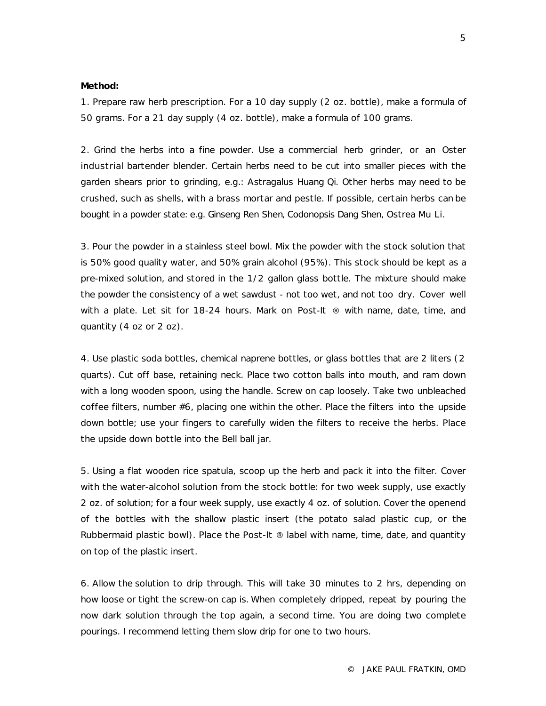## **Method:**

1. Prepare raw herb prescription. For a 10 day supply (2 oz. bottle), make a formula of 50 grams. For a 21 day supply (4 oz. bottle), make a formula of 100 grams.

2. Grind the herbs into a fine powder. Use a commercial herb grinder, or an Oster industrial bartender blender. Certain herbs need to be cut into smaller pieces with the garden shears prior to grinding, e.g.: Astragalus *Huang Qi*. Other herbs may need to be crushed, such as shells, with a brass mortar and pestle. If possible, certain herbs can be bought in a powder state: e.g. Ginseng *Ren Shen*, Codonopsis *Dang Shen*, Ostrea *Mu Li.*

3. Pour the powder in a stainless steel bowl. Mix the powder with the stock solution that is 50% good quality water, and 50% grain alcohol (95%). This stock should be kept as a pre-mixed solution, and stored in the 1/2 gallon glass bottle. The mixture should make the powder the consistency of a wet sawdust - not too wet, and not too dry. Cover well with a plate. Let sit for 18-24 hours. Mark on Post-It ® with name, date, time, and quantity (4 oz or 2 oz).

4. Use plastic soda bottles, chemical naprene bottles, or glass bottles that are 2 liters (2 quarts). Cut off base, retaining neck. Place two cotton balls into mouth, and ram down with a long wooden spoon, using the handle. Screw on cap loosely. Take two unbleached coffee filters, number #6, placing one within the other. Place the filters into the upside down bottle; use your fingers to carefully widen the filters to receive the herbs. Place the upside down bottle into the Bell ball jar.

5. Using a flat wooden rice spatula, scoop up the herb and pack it into the filter. Cover with the water-alcohol solution from the stock bottle: for two week supply, use exactly 2 oz. of solution; for a four week supply, use exactly 4 oz. of solution. Cover the openend of the bottles with the shallow plastic insert (the potato salad plastic cup, or the Rubbermaid plastic bowl). Place the Post-It  $\odot$  label with name, time, date, and quantity on top of the plastic insert.

6. Allow the solution to drip through. This will take 30 minutes to 2 hrs, depending on how loose or tight the screw-on cap is. When completely dripped, repeat by pouring the now dark solution through the top again, a second time. You are doing two complete pourings. I recommend letting them slow drip for one to two hours.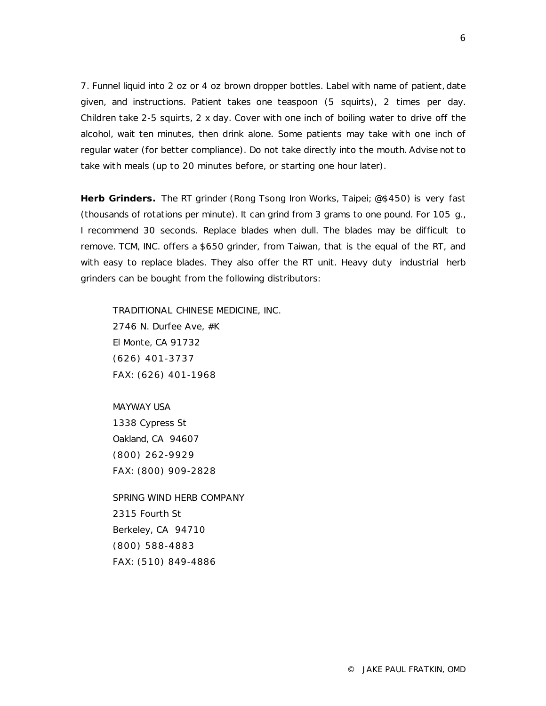7. Funnel liquid into 2 oz or 4 oz brown dropper bottles. Label with name of patient, date given, and instructions. Patient takes one teaspoon (5 squirts), 2 times per day. Children take 2-5 squirts, 2 x day. Cover with one inch of boiling water to drive off the alcohol, wait ten minutes, then drink alone. Some patients may take with one inch of regular water (for better compliance). Do not take directly into the mouth. Advise not to take with meals (up to 20 minutes before, or starting one hour later).

**Herb Grinders.** The RT grinder (Rong Tsong Iron Works, Taipei; @\$450) is very fast (thousands of rotations per minute). It can grind from 3 grams to one pound. For 105 g., I recommend 30 seconds. Replace blades when dull. The blades may be difficult to remove. TCM, INC. offers a \$650 grinder, from Taiwan, that is the equal of the RT, and with easy to replace blades. They also offer the RT unit. Heavy duty industrial herb grinders can be bought from the following distributors:

TRADITIONAL CHINESE MEDICINE, INC. 2746 N. Durfee Ave, #K El Monte, CA 91732 (626) 401-3737 FAX: (626) 401-1968

MAYWAY USA 1338 Cypress St Oakland, CA 94607 (800) 262-9929 FAX: (800) 909-2828

SPRING WIND HERB COMPANY 2315 Fourth St Berkeley, CA 94710 (800) 588-4883 FAX: (510) 849-4886